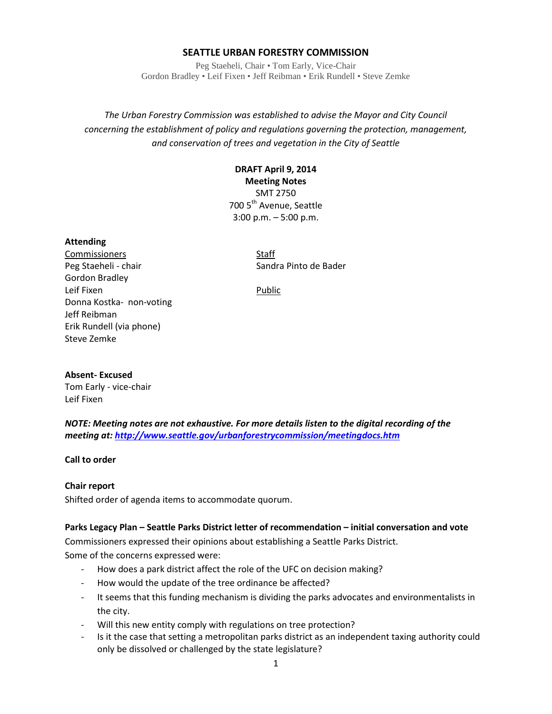### **SEATTLE URBAN FORESTRY COMMISSION**

Peg Staeheli, Chair • Tom Early, Vice-Chair Gordon Bradley • Leif Fixen • Jeff Reibman • Erik Rundell • Steve Zemke

*The Urban Forestry Commission was established to advise the Mayor and City Council concerning the establishment of policy and regulations governing the protection, management, and conservation of trees and vegetation in the City of Seattle*

# **DRAFT April 9, 2014**

**Meeting Notes** SMT 2750 700 5<sup>th</sup> Avenue, Seattle 3:00 p.m. – 5:00 p.m.

#### **Attending**

Commissioners Staff Peg Staeheli - chair Sandra Pinto de Bader Gordon Bradley Leif Fixen **Public** Donna Kostka- non-voting Jeff Reibman Erik Rundell (via phone) Steve Zemke

#### **Absent- Excused**

Tom Early - vice-chair Leif Fixen

*NOTE: Meeting notes are not exhaustive. For more details listen to the digital recording of the meeting at[: http://www.seattle.gov/urbanforestrycommission/meetingdocs.htm](http://www.seattle.gov/urbanforestrycommission/meetingdocs.htm)*

### **Call to order**

### **Chair report**

Shifted order of agenda items to accommodate quorum.

### **Parks Legacy Plan – Seattle Parks District letter of recommendation – initial conversation and vote**

Commissioners expressed their opinions about establishing a Seattle Parks District.

Some of the concerns expressed were:

- How does a park district affect the role of the UFC on decision making?
- How would the update of the tree ordinance be affected?
- It seems that this funding mechanism is dividing the parks advocates and environmentalists in the city.
- Will this new entity comply with regulations on tree protection?
- Is it the case that setting a metropolitan parks district as an independent taxing authority could only be dissolved or challenged by the state legislature?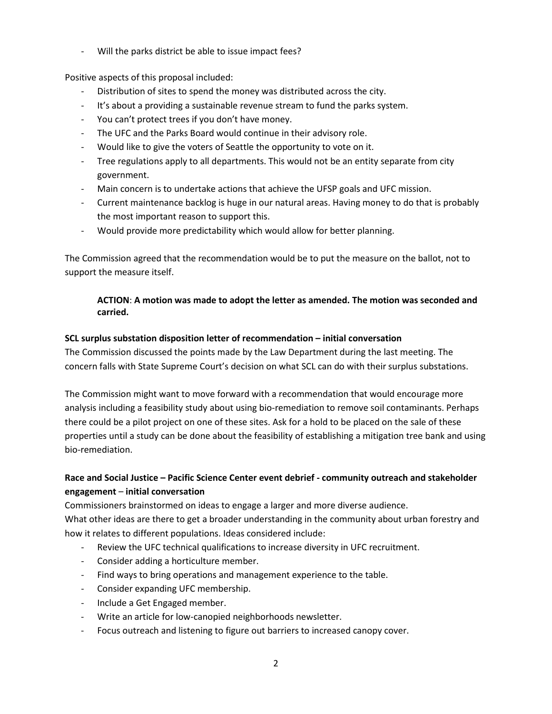Will the parks district be able to issue impact fees?

Positive aspects of this proposal included:

- Distribution of sites to spend the money was distributed across the city.
- It's about a providing a sustainable revenue stream to fund the parks system.
- You can't protect trees if you don't have money.
- The UFC and the Parks Board would continue in their advisory role.
- Would like to give the voters of Seattle the opportunity to vote on it.
- Tree regulations apply to all departments. This would not be an entity separate from city government.
- Main concern is to undertake actions that achieve the UFSP goals and UFC mission.
- Current maintenance backlog is huge in our natural areas. Having money to do that is probably the most important reason to support this.
- Would provide more predictability which would allow for better planning.

The Commission agreed that the recommendation would be to put the measure on the ballot, not to support the measure itself.

## **ACTION**: **A motion was made to adopt the letter as amended. The motion was seconded and carried.**

## **SCL surplus substation disposition letter of recommendation – initial conversation**

The Commission discussed the points made by the Law Department during the last meeting. The concern falls with State Supreme Court's decision on what SCL can do with their surplus substations.

The Commission might want to move forward with a recommendation that would encourage more analysis including a feasibility study about using bio-remediation to remove soil contaminants. Perhaps there could be a pilot project on one of these sites. Ask for a hold to be placed on the sale of these properties until a study can be done about the feasibility of establishing a mitigation tree bank and using bio-remediation.

# **Race and Social Justice – Pacific Science Center event debrief - community outreach and stakeholder engagement** – **initial conversation**

Commissioners brainstormed on ideas to engage a larger and more diverse audience. What other ideas are there to get a broader understanding in the community about urban forestry and how it relates to different populations. Ideas considered include:

- Review the UFC technical qualifications to increase diversity in UFC recruitment.
- Consider adding a horticulture member.
- Find ways to bring operations and management experience to the table.
- Consider expanding UFC membership.
- Include a Get Engaged member.
- Write an article for low-canopied neighborhoods newsletter.
- Focus outreach and listening to figure out barriers to increased canopy cover.